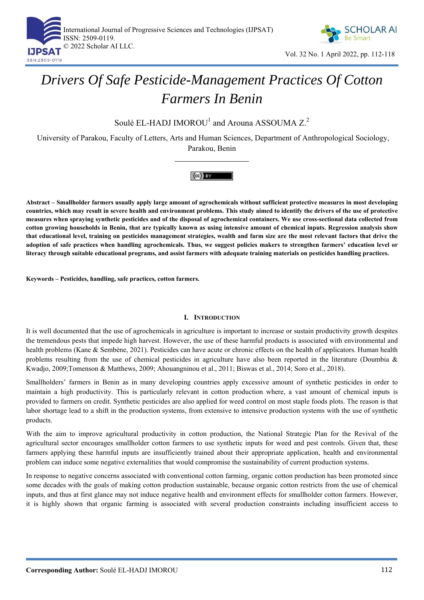



# *Drivers Of Safe Pesticide-Management Practices Of Cotton Farmers In Benin*

Soulé EL-HADJ IMOROU<sup>1</sup> and Arouna ASSOUMA  $Z$ .<sup>2</sup>

University of Parakou, Faculty of Letters, Arts and Human Sciences, Department of Anthropological Sociology, Parakou, Benin

# $(cc)$  BY

**Abstract – Smallholder farmers usually apply large amount of agrochemicals without sufficient protective measures in most developing countries, which may result in severe health and environment problems. This study aimed to identify the drivers of the use of protective measures when spraying synthetic pesticides and of the disposal of agrochemical containers. We use cross-sectional data collected from cotton growing households in Benin, that are typically known as using intensive amount of chemical inputs. Regression analysis show that educational level, training on pesticides management strategies, wealth and farm size are the most relevant factors that drive the adoption of safe practices when handling agrochemicals. Thus, we suggest policies makers to strengthen farmers' education level or literacy through suitable educational programs, and assist farmers with adequate training materials on pesticides handling practices.** 

**Keywords – Pesticides, handling, safe practices, cotton farmers.** 

# **I. INTRODUCTION**

It is well documented that the use of agrochemicals in agriculture is important to increase or sustain productivity growth despites the tremendous pests that impede high harvest. However, the use of these harmful products is associated with environmental and health problems (Kane & Sembène, 2021). Pesticides can have acute or chronic effects on the health of applicators. Human health problems resulting from the use of chemical pesticides in agriculture have also been reported in the literature (Doumbia & Kwadjo, 2009;Tomenson & Matthews, 2009; Ahouangninou et al., 2011; Biswas et al., 2014; Soro et al., 2018).

Smallholders' farmers in Benin as in many developing countries apply excessive amount of synthetic pesticides in order to maintain a high productivity. This is particularly relevant in cotton production where, a vast amount of chemical inputs is provided to farmers on credit. Synthetic pesticides are also applied for weed control on most staple foods plots. The reason is that labor shortage lead to a shift in the production systems, from extensive to intensive production systems with the use of synthetic products.

With the aim to improve agricultural productivity in cotton production, the National Strategic Plan for the Revival of the agricultural sector encourages smallholder cotton farmers to use synthetic inputs for weed and pest controls. Given that, these farmers applying these harmful inputs are insufficiently trained about their appropriate application, health and environmental problem can induce some negative externalities that would compromise the sustainability of current production systems.

In response to negative concerns associated with conventional cotton farming, organic cotton production has been promoted since some decades with the goals of making cotton production sustainable, because organic cotton restricts from the use of chemical inputs, and thus at first glance may not induce negative health and environment effects for smallholder cotton farmers. However, it is highly shown that organic farming is associated with several production constraints including insufficient access to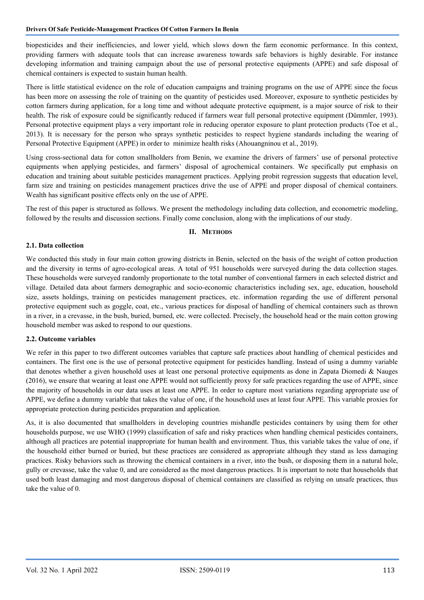biopesticides and their inefficiencies, and lower yield, which slows down the farm economic performance. In this context, providing farmers with adequate tools that can increase awareness towards safe behaviors is highly desirable. For instance developing information and training campaign about the use of personal protective equipments (APPE) and safe disposal of chemical containers is expected to sustain human health.

There is little statistical evidence on the role of education campaigns and training programs on the use of APPE since the focus has been more on assessing the role of training on the quantity of pesticides used. Moreover, exposure to synthetic pesticides by cotton farmers during application, for a long time and without adequate protective equipment, is a major source of risk to their health. The risk of exposure could be significantly reduced if farmers wear full personal protective equipment (Dümmler, 1993). Personal protective equipment plays a very important role in reducing operator exposure to plant protection products (Toe et al., 2013). It is necessary for the person who sprays synthetic pesticides to respect hygiene standards including the wearing of Personal Protective Equipment (APPE) in order to minimize health risks (Ahouangninou et al., 2019).

Using cross-sectional data for cotton smallholders from Benin, we examine the drivers of farmers' use of personal protective equipments when applying pesticides, and farmers' disposal of agrochemical containers. We specifically put emphasis on education and training about suitable pesticides management practices. Applying probit regression suggests that education level, farm size and training on pesticides management practices drive the use of APPE and proper disposal of chemical containers. Wealth has significant positive effects only on the use of APPE.

The rest of this paper is structured as follows. We present the methodology including data collection, and econometric modeling, followed by the results and discussion sections. Finally come conclusion, along with the implications of our study.

## **II. METHODS**

#### **2.1. Data collection**

We conducted this study in four main cotton growing districts in Benin, selected on the basis of the weight of cotton production and the diversity in terms of agro-ecological areas. A total of 951 households were surveyed during the data collection stages. These households were surveyed randomly proportionate to the total number of conventional farmers in each selected district and village. Detailed data about farmers demographic and socio-economic characteristics including sex, age, education, household size, assets holdings, training on pesticides management practices, etc. information regarding the use of different personal protective equipment such as goggle, coat, etc., various practices for disposal of handling of chemical containers such as thrown in a river, in a crevasse, in the bush, buried, burned, etc. were collected. Precisely, the household head or the main cotton growing household member was asked to respond to our questions.

#### **2.2. Outcome variables**

We refer in this paper to two different outcomes variables that capture safe practices about handling of chemical pesticides and containers. The first one is the use of personal protective equipment for pesticides handling. Instead of using a dummy variable that denotes whether a given household uses at least one personal protective equipments as done in Zapata Diomedi & Nauges (2016), we ensure that wearing at least one APPE would not sufficiently proxy for safe practices regarding the use of APPE, since the majority of households in our data uses at least one APPE. In order to capture most variations regarding appropriate use of APPE, we define a dummy variable that takes the value of one, if the household uses at least four APPE. This variable proxies for appropriate protection during pesticides preparation and application.

As, it is also documented that smallholders in developing countries mishandle pesticides containers by using them for other households purpose, we use WHO (1999) classification of safe and risky practices when handling chemical pesticides containers, although all practices are potential inappropriate for human health and environment. Thus, this variable takes the value of one, if the household either burned or buried, but these practices are considered as appropriate although they stand as less damaging practices. Risky behaviors such as throwing the chemical containers in a river, into the bush, or disposing them in a natural hole, gully or crevasse, take the value 0, and are considered as the most dangerous practices. It is important to note that households that used both least damaging and most dangerous disposal of chemical containers are classified as relying on unsafe practices, thus take the value of 0.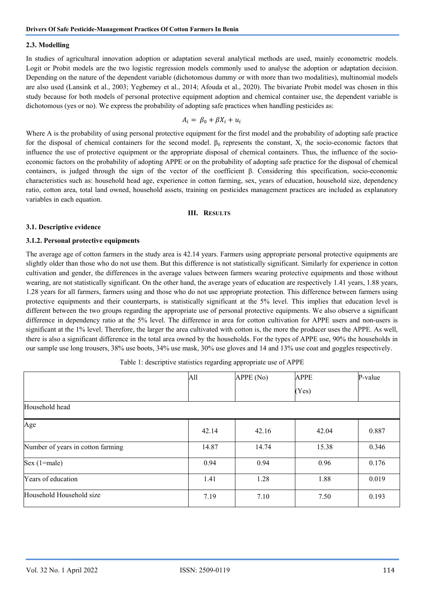#### **2.3. Modelling**

In studies of agricultural innovation adoption or adaptation several analytical methods are used, mainly econometric models. Logit or Probit models are the two logistic regression models commonly used to analyse the adoption or adaptation decision. Depending on the nature of the dependent variable (dichotomous dummy or with more than two modalities), multinomial models are also used (Lansink et al., 2003; Yegbemey et al., 2014; Afouda et al., 2020). The bivariate Probit model was chosen in this study because for both models of personal protective equipment adoption and chemical container use, the dependent variable is dichotomous (yes or no). We express the probability of adopting safe practices when handling pesticides as:

$$
A_i = \beta_0 + \beta X_i + u_i
$$

Where A is the probability of using personal protective equipment for the first model and the probability of adopting safe practice for the disposal of chemical containers for the second model.  $β_0$  represents the constant,  $X_i$  the socio-economic factors that influence the use of protective equipment or the appropriate disposal of chemical containers. Thus, the influence of the socioeconomic factors on the probability of adopting APPE or on the probability of adopting safe practice for the disposal of chemical containers, is judged through the sign of the vector of the coefficient β. Considering this specification, socio-economic characteristics such as: household head age, experience in cotton farming, sex, years of education, household size, dependency ratio, cotton area, total land owned, household assets, training on pesticides management practices are included as explanatory variables in each equation.

#### **III. RESULTS**

#### **3.1. Descriptive evidence**

#### **3.1.2. Personal protective equipments**

The average age of cotton farmers in the study area is 42.14 years. Farmers using appropriate personal protective equipments are slightly older than those who do not use them. But this difference is not statistically significant. Similarly for experience in cotton cultivation and gender, the differences in the average values between farmers wearing protective equipments and those without wearing, are not statistically significant. On the other hand, the average years of education are respectively 1.41 years, 1.88 years, 1.28 years for all farmers, farmers using and those who do not use appropriate protection. This difference between farmers using protective equipments and their counterparts, is statistically significant at the 5% level. This implies that education level is different between the two groups regarding the appropriate use of personal protective equipments. We also observe a significant difference in dependency ratio at the 5% level. The difference in area for cotton cultivation for APPE users and non-users is significant at the 1% level. Therefore, the larger the area cultivated with cotton is, the more the producer uses the APPE. As well, there is also a significant difference in the total area owned by the households. For the types of APPE use, 90% the households in our sample use long trousers, 38% use boots, 34% use mask, 30% use gloves and 14 and 13% use coat and goggles respectively.

|                                   | All   | APPE (No) | <b>APPE</b> | P-value |
|-----------------------------------|-------|-----------|-------------|---------|
|                                   |       |           | (Yes)       |         |
| Household head                    |       |           |             |         |
| Age                               | 42.14 | 42.16     | 42.04       | 0.887   |
| Number of years in cotton farming | 14.87 | 14.74     | 15.38       | 0.346   |
| $Sex (1 = male)$                  | 0.94  | 0.94      | 0.96        | 0.176   |
| Years of education                | 1.41  | 1.28      | 1.88        | 0.019   |
| Household Household size          | 7.19  | 7.10      | 7.50        | 0.193   |

Table 1: descriptive statistics regarding appropriate use of APPE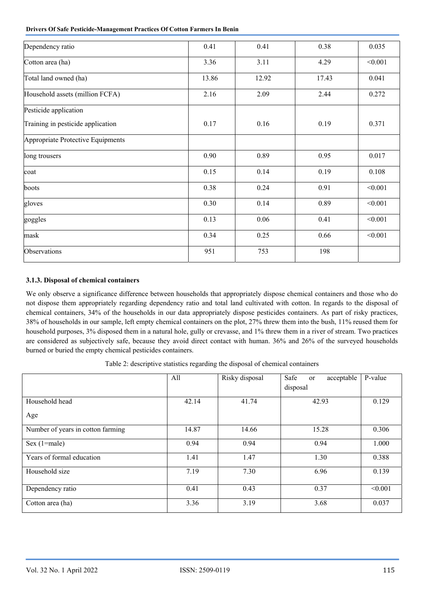| <b>Drivers Of Safe Pesticide-Management Practices Of Cotton Farmers In Benin</b> |  |
|----------------------------------------------------------------------------------|--|
|----------------------------------------------------------------------------------|--|

| 0.41  | 0.41  | 0.38  | 0.035   |
|-------|-------|-------|---------|
| 3.36  | 3.11  | 4.29  | < 0.001 |
| 13.86 | 12.92 | 17.43 | 0.041   |
| 2.16  | 2.09  | 2.44  | 0.272   |
|       |       |       |         |
| 0.17  | 0.16  | 0.19  | 0.371   |
|       |       |       |         |
| 0.90  | 0.89  | 0.95  | 0.017   |
| 0.15  | 0.14  | 0.19  | 0.108   |
| 0.38  | 0.24  | 0.91  | < 0.001 |
| 0.30  | 0.14  | 0.89  | < 0.001 |
| 0.13  | 0.06  | 0.41  | < 0.001 |
| 0.34  | 0.25  | 0.66  | < 0.001 |
| 951   | 753   | 198   |         |
|       |       |       |         |

# **3.1.3. Disposal of chemical containers**

We only observe a significance difference between households that appropriately dispose chemical containers and those who do not dispose them appropriately regarding dependency ratio and total land cultivated with cotton. In regards to the disposal of chemical containers, 34% of the households in our data appropriately dispose pesticides containers. As part of risky practices, 38% of households in our sample, left empty chemical containers on the plot, 27% threw them into the bush, 11% reused them for household purposes, 3% disposed them in a natural hole, gully or crevasse, and 1% threw them in a river of stream. Two practices are considered as subjectively safe, because they avoid direct contact with human. 36% and 26% of the surveyed households burned or buried the empty chemical pesticides containers.

Table 2: descriptive statistics regarding the disposal of chemical containers

|                                   | All   | Risky disposal | Safe<br>acceptable<br>or | P-value |
|-----------------------------------|-------|----------------|--------------------------|---------|
|                                   |       |                | disposal                 |         |
| Household head                    | 42.14 | 41.74          | 42.93                    | 0.129   |
| Age                               |       |                |                          |         |
| Number of years in cotton farming | 14.87 | 14.66          | 15.28                    | 0.306   |
| Sex $(1=male)$                    | 0.94  | 0.94           | 0.94                     | 1.000   |
| Years of formal education         | 1.41  | 1.47           | 1.30                     | 0.388   |
| Household size                    | 7.19  | 7.30           | 6.96                     | 0.139   |
| Dependency ratio                  | 0.41  | 0.43           | 0.37                     | < 0.001 |
| Cotton area (ha)                  | 3.36  | 3.19           | 3.68                     | 0.037   |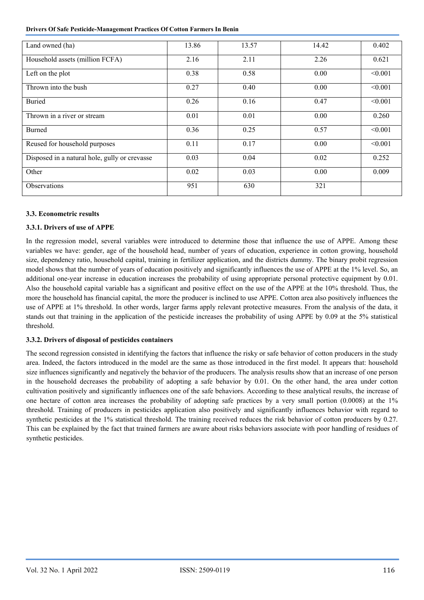**Drivers Of Safe Pesticide-Management Practices Of Cotton Farmers In Benin** 

| Land owned (ha)                               | 13.86 | 13.57 | 14.42 | 0.402   |
|-----------------------------------------------|-------|-------|-------|---------|
| Household assets (million FCFA)               | 2.16  | 2.11  | 2.26  | 0.621   |
| Left on the plot                              | 0.38  | 0.58  | 0.00  | < 0.001 |
| Thrown into the bush                          | 0.27  | 0.40  | 0.00  | < 0.001 |
| <b>Buried</b>                                 | 0.26  | 0.16  | 0.47  | < 0.001 |
| Thrown in a river or stream                   | 0.01  | 0.01  | 0.00  | 0.260   |
| Burned                                        | 0.36  | 0.25  | 0.57  | < 0.001 |
| Reused for household purposes                 | 0.11  | 0.17  | 0.00  | < 0.001 |
| Disposed in a natural hole, gully or crevasse | 0.03  | 0.04  | 0.02  | 0.252   |
| Other                                         | 0.02  | 0.03  | 0.00  | 0.009   |
| Observations                                  | 951   | 630   | 321   |         |

## **3.3. Econometric results**

## **3.3.1. Drivers of use of APPE**

In the regression model, several variables were introduced to determine those that influence the use of APPE. Among these variables we have: gender, age of the household head, number of years of education, experience in cotton growing, household size, dependency ratio, household capital, training in fertilizer application, and the districts dummy. The binary probit regression model shows that the number of years of education positively and significantly influences the use of APPE at the 1% level. So, an additional one-year increase in education increases the probability of using appropriate personal protective equipment by 0.01. Also the household capital variable has a significant and positive effect on the use of the APPE at the 10% threshold. Thus, the more the household has financial capital, the more the producer is inclined to use APPE. Cotton area also positively influences the use of APPE at 1% threshold. In other words, larger farms apply relevant protective measures. From the analysis of the data, it stands out that training in the application of the pesticide increases the probability of using APPE by 0.09 at the 5% statistical threshold.

#### **3.3.2. Drivers of disposal of pesticides containers**

The second regression consisted in identifying the factors that influence the risky or safe behavior of cotton producers in the study area. Indeed, the factors introduced in the model are the same as those introduced in the first model. It appears that: household size influences significantly and negatively the behavior of the producers. The analysis results show that an increase of one person in the household decreases the probability of adopting a safe behavior by 0.01. On the other hand, the area under cotton cultivation positively and significantly influences one of the safe behaviors. According to these analytical results, the increase of one hectare of cotton area increases the probability of adopting safe practices by a very small portion (0.0008) at the 1% threshold. Training of producers in pesticides application also positively and significantly influences behavior with regard to synthetic pesticides at the 1% statistical threshold. The training received reduces the risk behavior of cotton producers by 0.27. This can be explained by the fact that trained farmers are aware about risks behaviors associate with poor handling of residues of synthetic pesticides.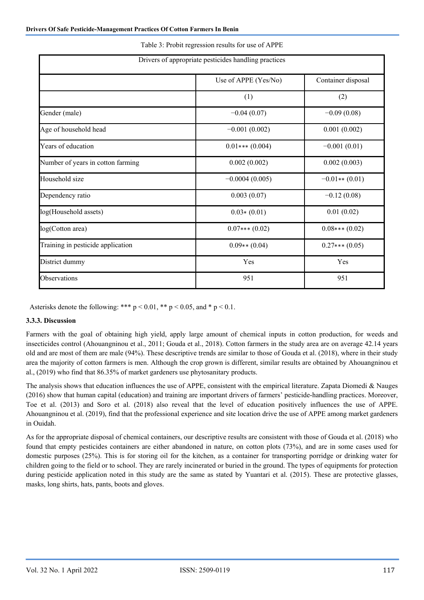|                                   | Drivers of appropriate pesticides handling practices |                    |  |
|-----------------------------------|------------------------------------------------------|--------------------|--|
|                                   | Use of APPE (Yes/No)                                 | Container disposal |  |
|                                   | (1)                                                  | (2)                |  |
| Gender (male)                     | $-0.04(0.07)$                                        | $-0.09(0.08)$      |  |
| Age of household head             | $-0.001(0.002)$                                      | 0.001(0.002)       |  |
| Years of education                | $0.01***$ (0.004)                                    | $-0.001(0.01)$     |  |
| Number of years in cotton farming | 0.002(0.002)                                         | 0.002(0.003)       |  |
| Household size                    | $-0.0004(0.005)$                                     | $-0.01**$ (0.01)   |  |
| Dependency ratio                  | 0.003(0.07)                                          | $-0.12(0.08)$      |  |
| log(Household assets)             | $0.03*(0.01)$                                        | 0.01(0.02)         |  |
| log(Cotton area)                  | $0.07***(0.02)$                                      | $0.08***(0.02)$    |  |
| Training in pesticide application | $0.09**$ (0.04)                                      | $0.27***(0.05)$    |  |
| District dummy                    | Yes                                                  | Yes                |  |
| Observations                      | 951                                                  | 951                |  |

#### Table 3: Probit regression results for use of APPE

Asterisks denote the following: \*\*\*  $p < 0.01$ , \*\*  $p < 0.05$ , and \*  $p < 0.1$ .

#### **3.3.3. Discussion**

Farmers with the goal of obtaining high yield, apply large amount of chemical inputs in cotton production, for weeds and insecticides control (Ahouangninou et al., 2011; Gouda et al., 2018). Cotton farmers in the study area are on average 42.14 years old and are most of them are male (94%). These descriptive trends are similar to those of Gouda et al. (2018), where in their study area the majority of cotton farmers is men. Although the crop grown is different, similar results are obtained by Ahouangninou et al., (2019) who find that 86.35% of market gardeners use phytosanitary products.

The analysis shows that education influences the use of APPE, consistent with the empirical literature. Zapata Diomedi & Nauges (2016) show that human capital (education) and training are important drivers of farmers' pesticide-handling practices. Moreover, Toe et al. (2013) and Soro et al. (2018) also reveal that the level of education positively influences the use of APPE. Ahouangninou et al. (2019), find that the professional experience and site location drive the use of APPE among market gardeners in Ouidah.

As for the appropriate disposal of chemical containers, our descriptive results are consistent with those of Gouda et al. (2018) who found that empty pesticides containers are either abandoned in nature, on cotton plots (73%), and are in some cases used for domestic purposes (25%). This is for storing oil for the kitchen, as a container for transporting porridge or drinking water for children going to the field or to school. They are rarely incinerated or buried in the ground. The types of equipments for protection during pesticide application noted in this study are the same as stated by Yuantari et al. (2015). These are protective glasses, masks, long shirts, hats, pants, boots and gloves.